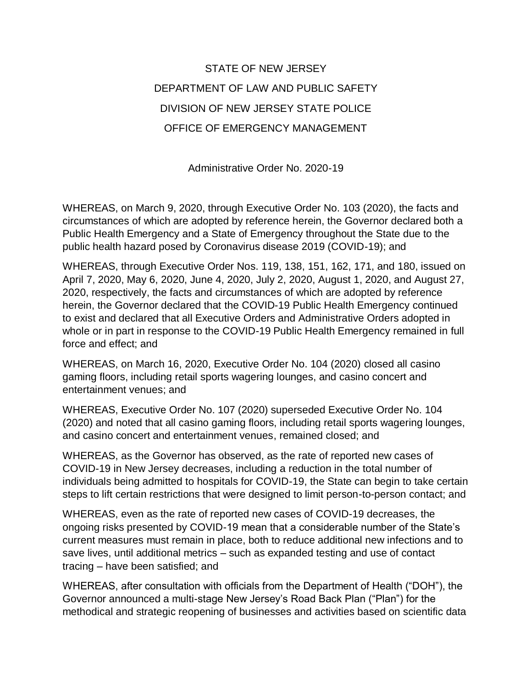## STATE OF NEW JERSEY DEPARTMENT OF LAW AND PUBLIC SAFETY DIVISION OF NEW JERSEY STATE POLICE OFFICE OF EMERGENCY MANAGEMENT

Administrative Order No. 2020-19

WHEREAS, on March 9, 2020, through Executive Order No. 103 (2020), the facts and circumstances of which are adopted by reference herein, the Governor declared both a Public Health Emergency and a State of Emergency throughout the State due to the public health hazard posed by Coronavirus disease 2019 (COVID-19); and

WHEREAS, through Executive Order Nos. 119, 138, 151, 162, 171, and 180, issued on April 7, 2020, May 6, 2020, June 4, 2020, July 2, 2020, August 1, 2020, and August 27, 2020, respectively, the facts and circumstances of which are adopted by reference herein, the Governor declared that the COVID-19 Public Health Emergency continued to exist and declared that all Executive Orders and Administrative Orders adopted in whole or in part in response to the COVID-19 Public Health Emergency remained in full force and effect; and

WHEREAS, on March 16, 2020, Executive Order No. 104 (2020) closed all casino gaming floors, including retail sports wagering lounges, and casino concert and entertainment venues; and

WHEREAS, Executive Order No. 107 (2020) superseded Executive Order No. 104 (2020) and noted that all casino gaming floors, including retail sports wagering lounges, and casino concert and entertainment venues, remained closed; and

WHEREAS, as the Governor has observed, as the rate of reported new cases of COVID-19 in New Jersey decreases, including a reduction in the total number of individuals being admitted to hospitals for COVID-19, the State can begin to take certain steps to lift certain restrictions that were designed to limit person-to-person contact; and

WHEREAS, even as the rate of reported new cases of COVID-19 decreases, the ongoing risks presented by COVID-19 mean that a considerable number of the State's current measures must remain in place, both to reduce additional new infections and to save lives, until additional metrics – such as expanded testing and use of contact tracing – have been satisfied; and

WHEREAS, after consultation with officials from the Department of Health ("DOH"), the Governor announced a multi-stage New Jersey's Road Back Plan ("Plan") for the methodical and strategic reopening of businesses and activities based on scientific data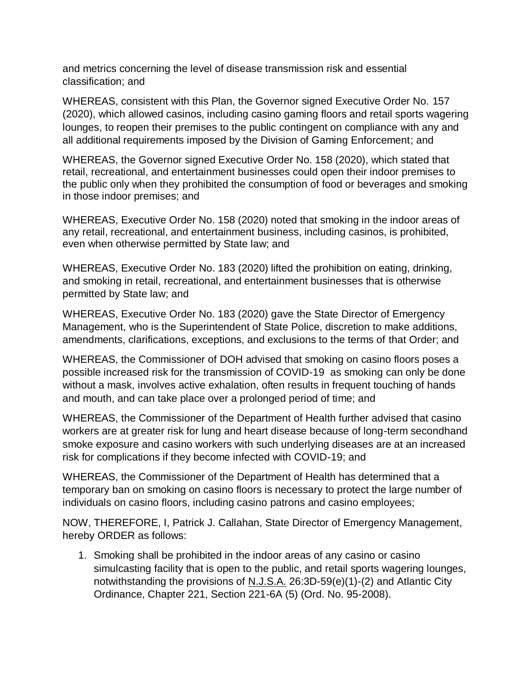and metrics concerning the level of disease transmission risk and essential classification; and

WHEREAS, consistent with this Plan, the Governor signed Executive Order No. 157 (2020), which allowed casinos, including casino gaming floors and retail sports wagering lounges, to reopen their premises to the public contingent on compliance with any and all additional requirements imposed by the Division of Gaming Enforcement; and

WHEREAS, the Governor signed Executive Order No. 158 (2020), which stated that retail, recreational, and entertainment businesses could open their indoor premises to the public only when they prohibited the consumption of food or beverages and smoking in those indoor premises; and

WHEREAS, Executive Order No. 158 (2020) noted that smoking in the indoor areas of any retail, recreational, and entertainment business, including casinos, is prohibited, even when otherwise permitted by State law; and

WHEREAS, Executive Order No. 183 (2020) lifted the prohibition on eating, drinking, and smoking in retail, recreational, and entertainment businesses that is otherwise permitted by State law; and

WHEREAS, Executive Order No. 183 (2020) gave the State Director of Emergency Management, who is the Superintendent of State Police, discretion to make additions, amendments, clarifications, exceptions, and exclusions to the terms of that Order; and

WHEREAS, the Commissioner of DOH advised that smoking on casino floors poses a possible increased risk for the transmission of COVID-19 as smoking can only be done without a mask, involves active exhalation, often results in frequent touching of hands and mouth, and can take place over a prolonged period of time; and

WHEREAS, the Commissioner of the Department of Health further advised that casino workers are at greater risk for lung and heart disease because of long-term secondhand smoke exposure and casino workers with such underlying diseases are at an increased risk for complications if they become infected with COVID-19; and

WHEREAS, the Commissioner of the Department of Health has determined that a temporary ban on smoking on casino floors is necessary to protect the large number of individuals on casino floors, including casino patrons and casino employees;

NOW, THEREFORE, I, Patrick J. Callahan, State Director of Emergency Management, hereby ORDER as follows:

1. Smoking shall be prohibited in the indoor areas of any casino or casino simulcasting facility that is open to the public, and retail sports wagering lounges, notwithstanding the provisions of N.J.S.A. 26:3D-59(e)(1)-(2) and Atlantic City Ordinance, Chapter 221, Section 221-6A (5) (Ord. No. 95-2008).